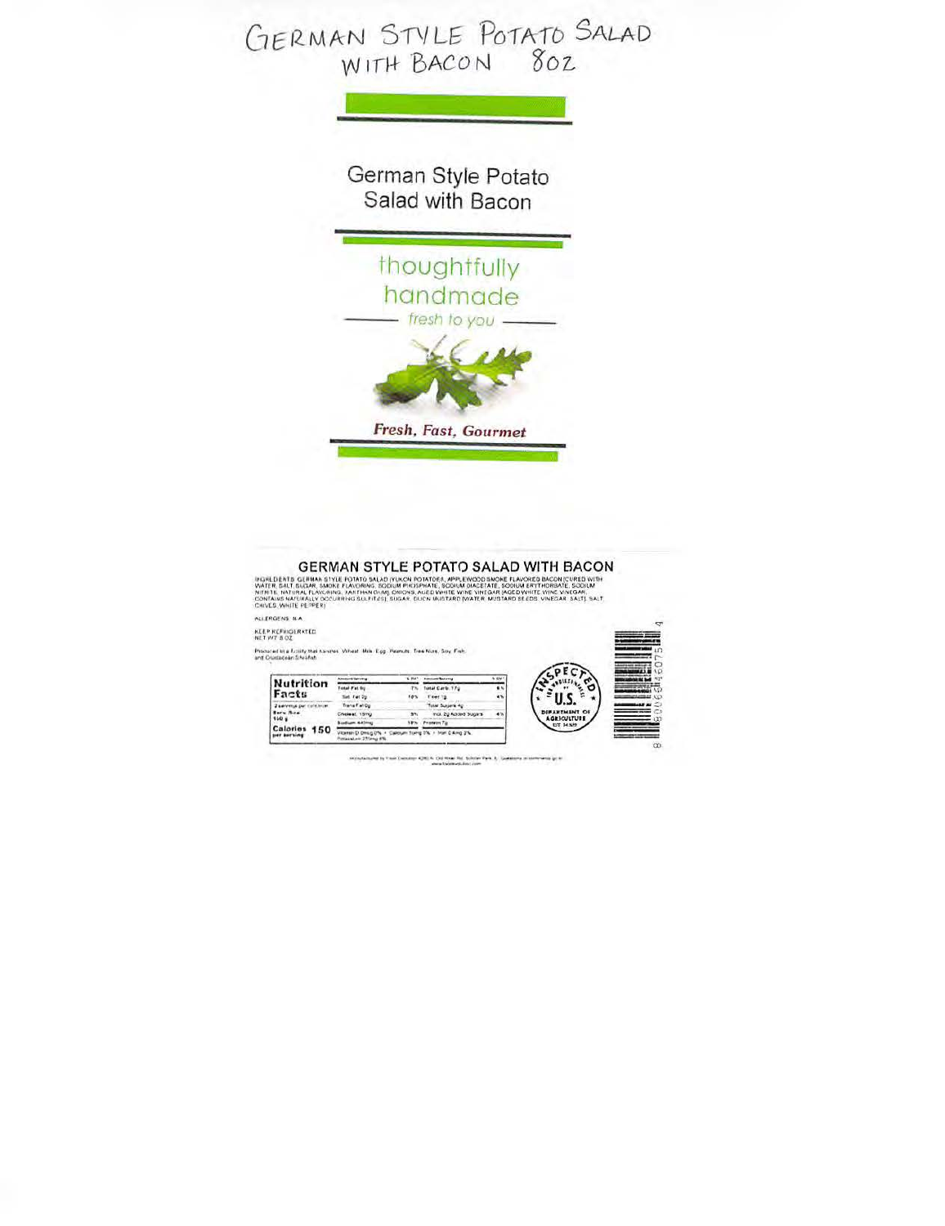

## GERMAN STYLE POTATO SALAD WITH BACON

INGREDIENTS, GERMAN STYLE POTATO SALAD (YUKON POTATORS, APPLEWOOD SMOKE FLAVORED BACON (CURED WITH<br>WATER, SRLT SUGAR, SMOKE FLAVORING, SODINA PRISSPANTE, SODINA DACETATE, SODINA ERYTHORIANT, SODINA<br>KITHTAL, NATURAL FLAVCAR ALIERGENS NA

KEEP REFINGERATED

Procured in a fusility that haven's Virtual Miki Egg. Peanuts, Tree Nies, Soy, Fish, and Cristmovin Shriftsh.

| Calories 150<br><b>SHEE BASEWING</b> | Vitaman D Omini DN<br>Polausian 27/pmg fills. |         | sum flores D'N' + Iron D Amg 2%. |                   |                                     |
|--------------------------------------|-----------------------------------------------|---------|----------------------------------|-------------------|-------------------------------------|
|                                      | <b>Sodium Atlines</b>                         | 18%     | Penness To                       |                   | EST. 34 NH2                         |
| Serv. Nize<br>160 a                  | Choiset 15mg                                  | 31.     | Inci. 2g Added Sugars            | 4%                | DEFARTMENT OF<br><b>AGRICULTURE</b> |
| Facts<br>2 servings per collisioner  | Trans Fall Op                                 |         | Total Sussex Ap                  |                   |                                     |
|                                      | liet Fet 7g                                   | 10%     | Feet 1g                          | 45                |                                     |
|                                      | Total Fat fig.                                | PN.     | Tutal Carb. 17g                  | 4%                |                                     |
| Nutrition                            |                                               | N. W.C. | <b>Billion and Backering</b>     | <b>&amp; OV 1</b> |                                     |

regularized by that Europe 4200 K. Oli Haw Rd, Solvier Pyrk, §. Goldinga in sometimes in the  $\alpha$  -results of the following function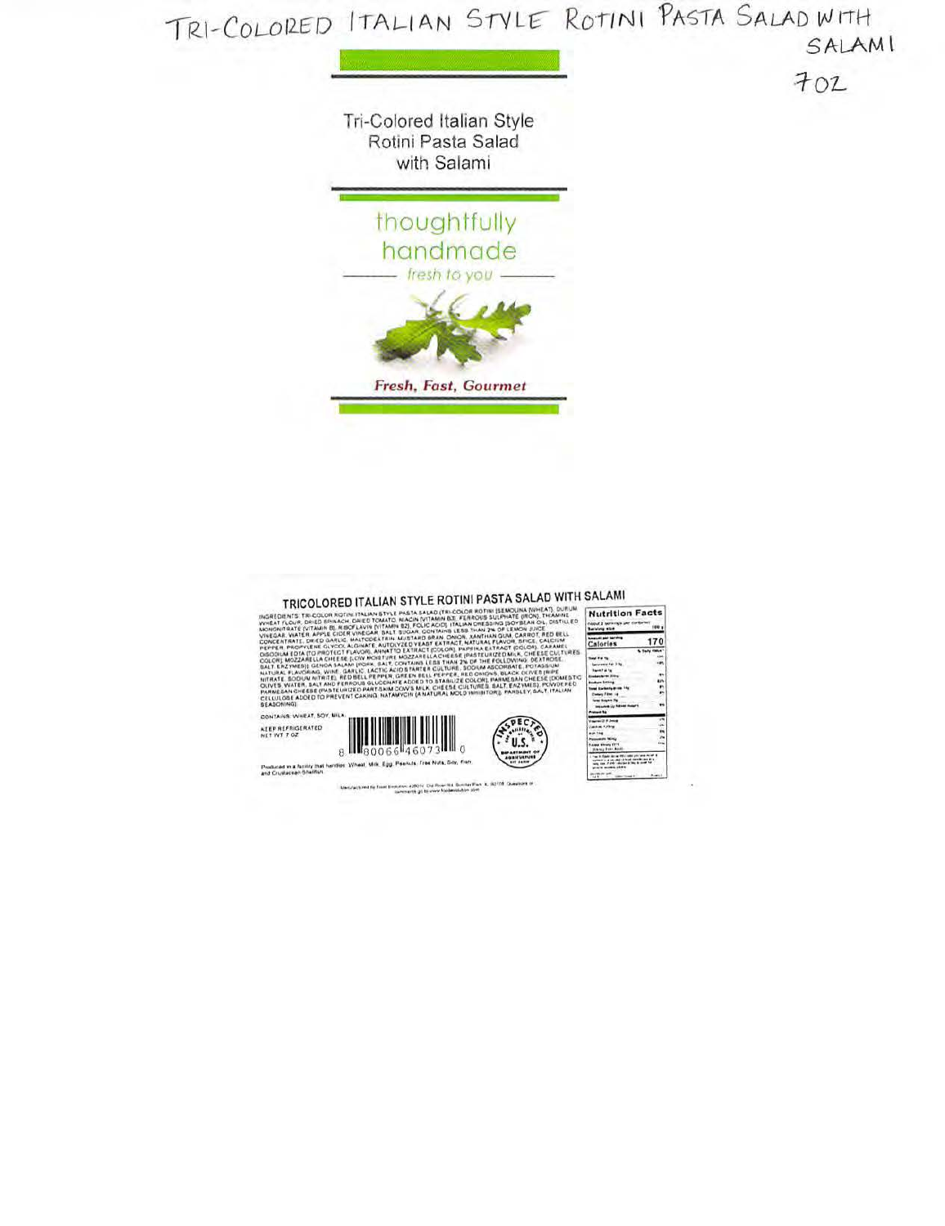

Menufactured by Essel Entrators a 200 for Die Roes Hat Springs Park, K.; 50178. Chews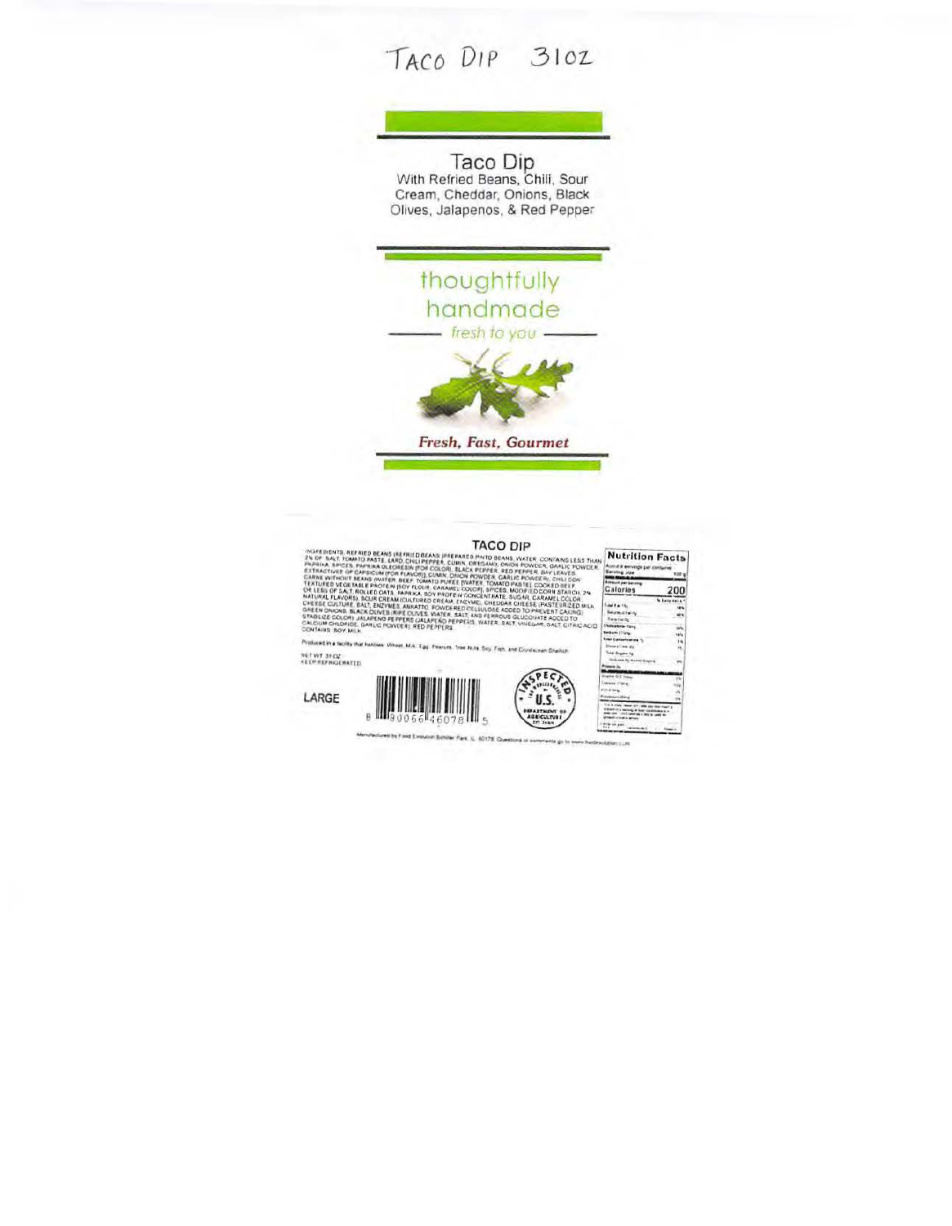## TACO DIP 310Z

Taco Dip<br>With Refried Beans, Chili, Sour<br>Cream, Cheddar, Onions, Black<br>Olives, Jalapenos, & Red Pepper



| INGREDIENTS, REFRIED BEANS IREFRIED BEANS (PREPARED PINTO BEANS, WATER, CONTAING LESS THAN<br>2% OF SALT, TOMATO PASTE, LARD, CHILI PEPPER, CUMN, OREGANO, ONION POWDER, GARLIC POWDER.<br>JAPAILA SPICES, PAPRIKA OLEONESIN (FOR COLOR), BLACK PEPPER, RED PEPPER, BAY LEAVES,<br>EXTRACTIVES OF CAPSICUM (FOR FLAVOR), CUMIN, ONION POWDER, GARLIC POWDER), CHILI CON | <b>Nutrition Facts</b><br>Assist V enrique per conterner<br><b>Berving you</b><br><b>YOU</b> y                                                                                                                                                                                                                                                                                                                                                                                                                                                                                                                                                                                                  |                                                                                                                                                |                                                           |
|-------------------------------------------------------------------------------------------------------------------------------------------------------------------------------------------------------------------------------------------------------------------------------------------------------------------------------------------------------------------------|-------------------------------------------------------------------------------------------------------------------------------------------------------------------------------------------------------------------------------------------------------------------------------------------------------------------------------------------------------------------------------------------------------------------------------------------------------------------------------------------------------------------------------------------------------------------------------------------------------------------------------------------------------------------------------------------------|------------------------------------------------------------------------------------------------------------------------------------------------|-----------------------------------------------------------|
| CONTAINS BOY, MILK                                                                                                                                                                                                                                                                                                                                                      | CARNE WITHOUT BEANS (WATER: BEEF, TOMATO PUREE (VATER, TOMATO PASTE), COOKED BEEF,<br>TEXTURED VEGETABLE PROTEIN (SDY FLOUR, CARAMEL COLOR), SPICES, MODIFIED CORN STARCH, 2%<br>OR LESS OF SALT, ROLLED DATS, PAPRIKA, SOY PROTE-H CONCENTRATE, SUGAR, CARAMEL COLOR.<br>NATURAL FLAVORS). SOUR CREAM (CULTURED CREAM, ENZYME), CHEDDAR CHEESE (PASTEUR/ZED MILK<br>CHEESE CULTURE, EALT, ENZYMES, ANKATTO, FOWDERED CELLULOSE ADDED TO PREVENT CAKING:<br>GREEN ONIONS, BLACK OLIVES IRIPE OUVES, WATER, SALT AND FERROUS GLUCOHATE ADDED TO<br>STABLIZE COLORI JALAPENO PEPPERS (JALAPENO PEPPERS, WATER, SALT, VIVEGAR, SALT, CITRIC ACID.<br>CALCIUM CHLORIDE, GARLIC POWEER), RED PEPPERS | <b>Alexandra per beneral</b><br><b>Calories</b><br>East Factor<br>Second Form<br><b>Readway</b><br><b>Children Card</b><br><b>Bedurn 3Tong</b> | 200<br>Williams Mark &<br>14%<br>se v<br>14%<br><b>HA</b> |
|                                                                                                                                                                                                                                                                                                                                                                         | Total Cartieriyarara 1).<br>Depart Line 2x                                                                                                                                                                                                                                                                                                                                                                                                                                                                                                                                                                                                                                                      | 25<br>$P=$                                                                                                                                     |                                                           |
| NET WYT. 31 CV.<br><b>KEEP REFINGERATED</b>                                                                                                                                                                                                                                                                                                                             | Produced in a facility that handses. Wheat, M.S. Egg. Plearure, Tree Nuts, Sey, Frith, and Crustwowen Sherlich                                                                                                                                                                                                                                                                                                                                                                                                                                                                                                                                                                                  | <b>Seat Sigura 1g</b><br><b>Three one for Motival Streets</b><br><b>Prosecute Inc.</b>                                                         |                                                           |
| LARGE                                                                                                                                                                                                                                                                                                                                                                   | <b><i>USEARTMENT OF</i></b><br>0066 460<br><b>AGRICULTURE</b>                                                                                                                                                                                                                                                                                                                                                                                                                                                                                                                                                                                                                                   | Pearles D. E. Louis<br>Miles Hiller<br><b>ALCOHOL</b><br><b><i><u>Fréminant Jóns</u></i></b>                                                   |                                                           |